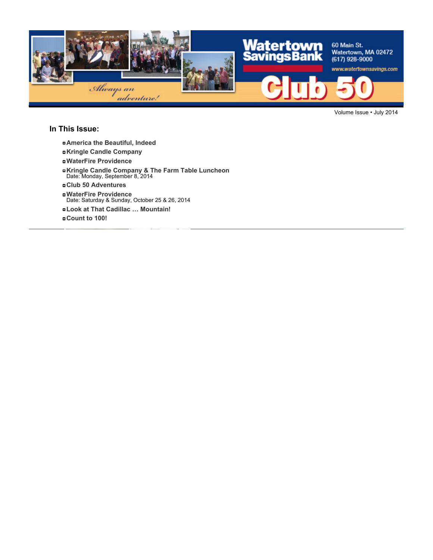

Volume Issue • July 2014

#### **In This Issue:**

- **America the Beautiful, Indeed**
- **Kringle Candle Company**
- **WaterFire Providence**
- **Kringle Candle Company & The Farm Table Luncheon** Date: Monday, September 8, 2014
- **Club 50 Adventures**
- **WaterFire Providence** Date: Saturday & Sunday, October 25 & 26, 2014
- **Look at That Cadillac … Mountain!**
- **Count to 100!**

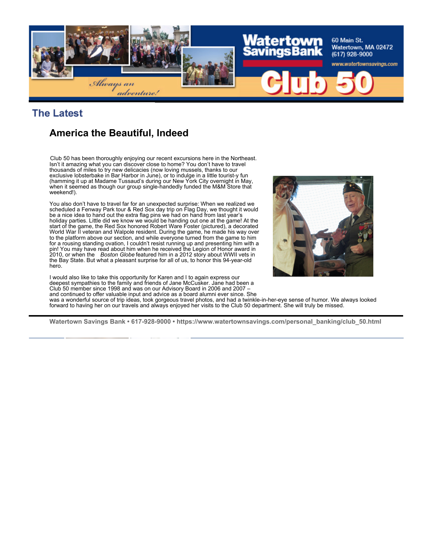

## **The Latest**

# **America the Beautiful, Indeed**

Club 50 has been thoroughly enjoying our recent excursions here in the Northeast. Isn't it amazing what you can discover close to home? You don't have to travel thousands of miles to try new delicacies (now loving mussels, thanks to our exclusive lobsterbake in Bar Harbor in June), or to indulge in a little tourist-y fun (hamming it up at Madame Tussaud's during our New York City overnight in May, when it seemed as though our group single-handedly funded the M&M Store that weekend!).

You also don't have to travel far for an unexpected surprise: When we realized we scheduled a Fenway Park tour & Red Sox day trip on Flag Day, we thought it would be a nice idea to hand out the extra flag pins we had on hand from last year's holiday parties. Little did we know we would be handing out one at the game! At the start of the game, the Red Sox honored Robert Ware Foster (pictured), a decorated World War II veteran and Walpole resident. During the game, he made his way over to the platform above our section, and while everyone turned from the game to him for a rousing standing ovation, I couldn't resist running up and presenting him with a pin! You may have read about him when he received the Legion of Honor award in 2010, or when the *Boston Globe* featured him in a 2012 story about WWII vets in the Bay State. But what a pleasant surprise for all of us, to honor this 94-year-old hero.



I would also like to take this opportunity for Karen and I to again express our deepest sympathies to the family and friends of Jane McCusker. Jane had been a Club 50 member since 1998 and was on our Advisory Board in 2006 and 2007 – and continued to offer valuable input and advice as a board alumni ever since. She

was a wonderful source of trip ideas, took gorgeous travel photos, and had a twinkle-in-her-eye sense of humor. We always looked forward to having her on our travels and always enjoyed her visits to the Club 50 department. She will truly be missed.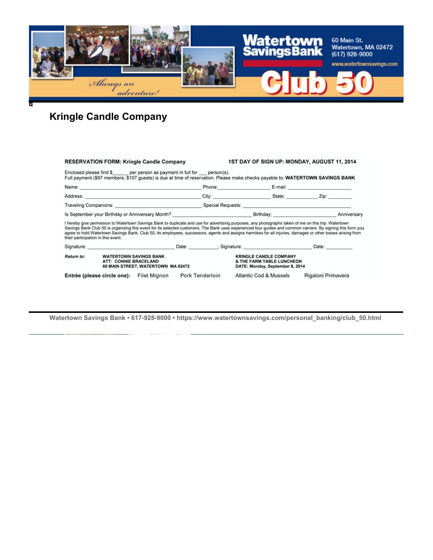

# **Kringle Candle Company**

|            | <b>RESERVATION FORM: Kringle Candle Company</b>                                                                                                                                                                                                                                                                                                                                                                                                                                                                              | 1ST DAY OF SIGN UP: MONDAY, AUGUST 11, 2014                                                                                                                                                                                          |             |  |
|------------|------------------------------------------------------------------------------------------------------------------------------------------------------------------------------------------------------------------------------------------------------------------------------------------------------------------------------------------------------------------------------------------------------------------------------------------------------------------------------------------------------------------------------|--------------------------------------------------------------------------------------------------------------------------------------------------------------------------------------------------------------------------------------|-------------|--|
|            | Enclosed please find \$ per person as payment in full for person(s).<br>Full payment (\$97 members; \$107 guests) is due at time of reservation. Please make checks payable to: WATERTOWN SAVINGS BANK                                                                                                                                                                                                                                                                                                                       |                                                                                                                                                                                                                                      |             |  |
|            |                                                                                                                                                                                                                                                                                                                                                                                                                                                                                                                              | Phone: 2008 2010 2010 2010 2010 2011 2021 2022 2023 2024 2022 2023 2024 2022 2023 2024 2025 2026 2027 2027 20                                                                                                                        |             |  |
|            |                                                                                                                                                                                                                                                                                                                                                                                                                                                                                                                              | City: State: Zip:                                                                                                                                                                                                                    |             |  |
|            |                                                                                                                                                                                                                                                                                                                                                                                                                                                                                                                              | Traveling Companions: <u>Companions: Companions: Companions: Companions: Companions: Companions: Companions: Companions: Companions: Companions: Companions: Companions: Companions: Companions: Companions: Companions: Compani</u> |             |  |
|            | Is September your Birthday or Anniversary Month? <b>Example 20 You be a set of the September your Birthday;</b>                                                                                                                                                                                                                                                                                                                                                                                                              |                                                                                                                                                                                                                                      | Anniversary |  |
|            |                                                                                                                                                                                                                                                                                                                                                                                                                                                                                                                              |                                                                                                                                                                                                                                      |             |  |
|            | I hereby give permission to Watertown Savings Bank to duplicate and use for advertising purposes, any photographs taken of me on this trip. Watertown<br>Savings Bank Club 50 is organizing this event for its selected customers. The Bank uses experienced tour guides and common carriers. By signing this form you<br>agree to hold Watertown Savings Bank, Club 50, its employees, successors, agents and assigns harmless for all injuries, damages or other losses arising from<br>their participation in this event. |                                                                                                                                                                                                                                      |             |  |
|            | Signature: Date: Date: Date: Date: Signature: Date: Signature: Date: Date: Date: Date: Date: Date: D                                                                                                                                                                                                                                                                                                                                                                                                                         |                                                                                                                                                                                                                                      |             |  |
| Return to: | <b>WATERTOWN SAVINGS BANK</b><br>ATT: CONNIE BRACELAND<br>60 MAIN STREET, WATERTOWN MA 02472                                                                                                                                                                                                                                                                                                                                                                                                                                 | <b>KRINGLE CANDLE COMPANY</b><br>& THE FARM TABLE LUNCHEON<br>DATE: Monday, September 8, 2014                                                                                                                                        |             |  |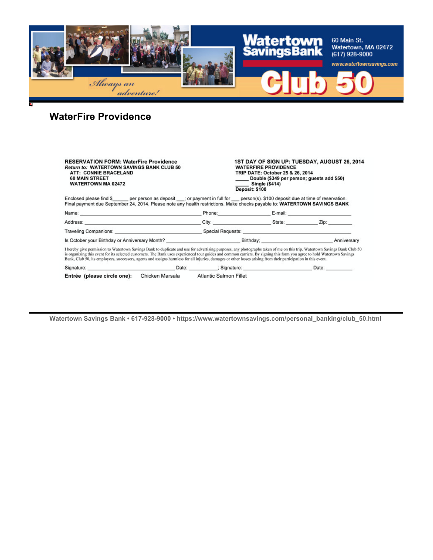

# **WaterFire Providence**

| <b>RESERVATION FORM: WaterFire Providence</b><br><b>Return to: WATERTOWN SAVINGS BANK CLUB 50</b><br><b>ATT: CONNIE BRACELAND</b><br><b>60 MAIN STREET</b><br><b>WATERTOWN MA 02472</b>                                                                                                                                                                                                                                                                                                                                   |                                        | 1ST DAY OF SIGN UP: TUESDAY, AUGUST 26, 2014<br><b>WATERFIRE PROVIDENCE</b><br>TRIP DATE: October 25 & 26, 2014<br>Double (\$349 per person; guests add \$50)<br><b>Single (\$414)</b><br>Deposit: \$100 |       |  |  |
|---------------------------------------------------------------------------------------------------------------------------------------------------------------------------------------------------------------------------------------------------------------------------------------------------------------------------------------------------------------------------------------------------------------------------------------------------------------------------------------------------------------------------|----------------------------------------|----------------------------------------------------------------------------------------------------------------------------------------------------------------------------------------------------------|-------|--|--|
| Enclosed please find \$ per person as deposit ; or payment in full for person(s). \$100 deposit due at time of reservation.<br>Final payment due September 24, 2014. Please note any health restrictions. Make checks payable to: WATERTOWN SAVINGS BANK                                                                                                                                                                                                                                                                  |                                        |                                                                                                                                                                                                          |       |  |  |
| Name: 2008. 2009. 2009. 2009. 2009. 2009. 2009. 2009. 2009. 2009. 2009. 2009. 2009. 2009. 2009. 2009. 2009. 20                                                                                                                                                                                                                                                                                                                                                                                                            |                                        | Phone: E-mail: E-mail:                                                                                                                                                                                   |       |  |  |
|                                                                                                                                                                                                                                                                                                                                                                                                                                                                                                                           |                                        | City: State: Zip:                                                                                                                                                                                        |       |  |  |
|                                                                                                                                                                                                                                                                                                                                                                                                                                                                                                                           |                                        |                                                                                                                                                                                                          |       |  |  |
|                                                                                                                                                                                                                                                                                                                                                                                                                                                                                                                           |                                        |                                                                                                                                                                                                          |       |  |  |
| I hereby give permission to Watertown Savings Bank to duplicate and use for advertising purposes, any photographs taken of me on this trip. Watertown Savings Bank Club 50<br>is organizing this event for its selected customers. The Bank uses experienced tour guides and common carriers. By signing this form you agree to hold Watertown Savings<br>Bank, Club 50, its employees, successors, agents and assigns harmless for all injuries, damages or other losses arising from their participation in this event. |                                        |                                                                                                                                                                                                          |       |  |  |
|                                                                                                                                                                                                                                                                                                                                                                                                                                                                                                                           |                                        |                                                                                                                                                                                                          | Date: |  |  |
| Entrée (please circle one):                                                                                                                                                                                                                                                                                                                                                                                                                                                                                               | Chicken Marsala Atlantic Salmon Fillet |                                                                                                                                                                                                          |       |  |  |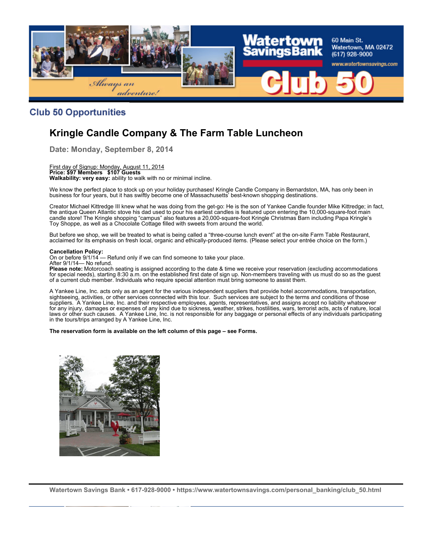

### **Club 50 Opportunities**

## **Kringle Candle Company & The Farm Table Luncheon**

**Date: Monday, September 8, 2014**

First day of Signup: Monday, August 11, 2014 **Price: \$97 Members \$107 Guests Walkability: very easy:** ability to walk with no or minimal incline.

We know the perfect place to stock up on your holiday purchases! Kringle Candle Company in Bernardston, MA, has only been in business for four years, but it has swiftly become one of Massachusetts' best-known shopping destinations.

Creator Michael Kittredge III knew what he was doing from the get-go: He is the son of Yankee Candle founder Mike Kittredge; in fact, the antique Queen Atlantic stove his dad used to pour his earliest candles is featured upon entering the 10,000-square-foot main candle store! The Kringle shopping "campus" also features a 20,000-square-foot Kringle Christmas Barn including Papa Kringle's Toy Shoppe, as well as a Chocolate Cottage filled with sweets from around the world.

But before we shop, we will be treated to what is being called a "three-course lunch event" at the on-site Farm Table Restaurant, acclaimed for its emphasis on fresh local, organic and ethically-produced items. (Please select your entrée choice on the form.)

#### **Cancellation Policy:**

On or before 9/1/14 — Refund only if we can find someone to take your place. After 9/1/14— No refund.

**Please note:** Motorcoach seating is assigned according to the date & time we receive your reservation (excluding accommodations for special needs), starting 8:30 a.m. on the established first date of sign up. Non-members traveling with us must do so as the guest of a current club member. Individuals who require special attention must bring someone to assist them.

A Yankee Line, Inc. acts only as an agent for the various independent suppliers that provide hotel accommodations, transportation, sightseeing, activities, or other services connected with this tour. Such services are subject to the terms and conditions of those suppliers. A Yankee Line, Inc. and their respective employees, agents, representatives, and assigns accept no liability whatsoever for any injury, damages or expenses of any kind due to sickness, weather, strikes, hostilities, wars, terrorist acts, acts of nature, local laws or other such causes. A Yankee Line, Inc. is not responsible for any baggage or personal effects of any individuals participating in the tours/trips arranged by A Yankee Line, Inc.

**The reservation form is available on the left column of this page – see Forms.**

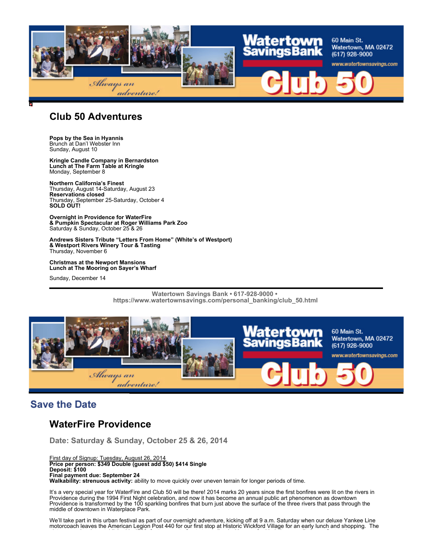

### **Club 50 Adventures**

**Pops by the Sea in Hyannis** Brunch at Dan'l Webster Inn Sunday, August 10

**Kringle Candle Company in Bernardston Lunch at The Farm Table at Kringle** Monday, September 8

**Northern California's Finest** Thursday, August 14-Saturday, August 23 **Reservations closed** Thursday, September 25-Saturday, October 4 **SOLD OUT!**

**Overnight in Providence for WaterFire & Pumpkin Spectacular at Roger Williams Park Zoo** Saturday & Sunday, October 25 & 26

**Andrews Sisters Tribute "Letters From Home" (White's of Westport) & Westport Rivers Winery Tour & Tasting** Thursday, November 6

**Christmas at the Newport Mansions Lunch at The Mooring on Sayer's Wharf**

Sunday, December 14

**Watertown Savings Bank • 617-928-9000 • https://www.watertownsavings.com/personal\_banking/club\_50.html** 



## **Save the Date**

## **WaterFire Providence**

**Date: Saturday & Sunday, October 25 & 26, 2014**

First day of Signup: Tuesday, August 26, 2014 **Price per person: \$349 Double (guest add \$50) \$414 Single Deposit: \$100 Final payment due: September 24**

**Walkability: strenuous activity:** ability to move quickly over uneven terrain for longer periods of time.

It's a very special year for WaterFire and Club 50 will be there! 2014 marks 20 years since the first bonfires were lit on the rivers in Providence during the 1994 First Night celebration, and now it has become an annual public art phenomenon as downtown Providence is transformed by the 100 sparkling bonfires that burn just above the surface of the three rivers that pass through the middle of downtown in Waterplace Park.

We'll take part in this urban festival as part of our overnight adventure, kicking off at 9 a.m. Saturday when our deluxe Yankee Line motorcoach leaves the American Legion Post 440 for our first stop at Historic Wickford Village for an early lunch and shopping. The picturesque locale, established in 1709, features waterfront streets lined with one-of-a-kind shows, galleries, cafes, and restaurants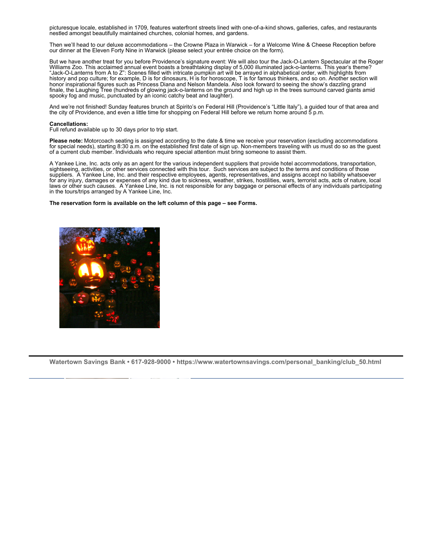picturesque locale, established in 1709, features waterfront streets lined with one-of-a-kind shows, galleries, cafes, and restaurants nestled amongst beautifully maintained churches, colonial homes, and gardens.

Then we'll head to our deluxe accommodations – the Crowne Plaza in Warwick – for a Welcome Wine & Cheese Reception before our dinner at the Eleven Forty Nine in Warwick (please select your entrée choice on the form).

But we have another treat for you before Providence's signature event: We will also tour the Jack-O-Lantern Spectacular at the Roger Williams Zoo. This acclaimed annual event boasts a breathtaking display of 5,000 illuminated jack-o-lanterns. This year's theme? "Jack-O-Lanterns from A to Z": Scenes filled with intricate pumpkin art will be arrayed in alphabetical order, with highlights from history and pop culture; for example, D is for dinosaurs, H is for horoscope, T is for famous thinkers, and so on. Another section will honor inspirational figures such as Princess Diana and Nelson Mandela. Also look forward to seeing the show's dazzling grand finale, the Laughing Tree (hundreds of glowing jack-o-lanterns on the ground and high up in the trees surround carved giants amid spooky fog and music, punctuated by an iconic catchy beat and laughter).

And we're not finished! Sunday features brunch at Spirito's on Federal Hill (Providence's "Little Italy"), a guided tour of that area and the city of Providence, and even a little time for shopping on Federal Hill before we return home around 5 p.m.

#### **Cancellations:**

Full refund available up to 30 days prior to trip start.

**Please note:** Motorcoach seating is assigned according to the date & time we receive your reservation (excluding accommodations for special needs), starting 8:30 a.m. on the established first date of sign up. Non-members traveling with us must do so as the guest of a current club member. Individuals who require special attention must bring someone to assist them.

A Yankee Line, Inc. acts only as an agent for the various independent suppliers that provide hotel accommodations, transportation, sightseeing, activities, or other services connected with this tour. Such services are subject to the terms and conditions of those suppliers. A Yankee Line, Inc. and their respective employees, agents, representatives, and assigns accept no liability whatsoever for any injury, damages or expenses of any kind due to sickness, weather, strikes, hostilities, wars, terrorist acts, acts of nature, local laws or other such causes. A Yankee Line, Inc. is not responsible for any baggage or personal effects of any individuals participating in the tours/trips arranged by A Yankee Line, Inc.

#### **The reservation form is available on the left column of this page – see Forms.**

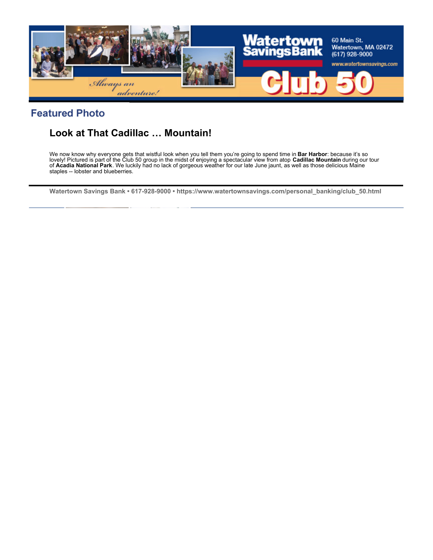

## **Featured Photo**

# **Look at That Cadillac … Mountain!**

We now know why everyone gets that wistful look when you tell them you're going to spend time in **Bar Harbor**: because it's so lovely! Pictured is part of the Club 50 group in the midst of enjoying a spectacular view from atop **Cadillac Mountain** during our tour of **Acadia National Park**. We luckily had no lack of gorgeous weather for our late June jaunt, as well as those delicious Maine staples -- lobster and blueberries.